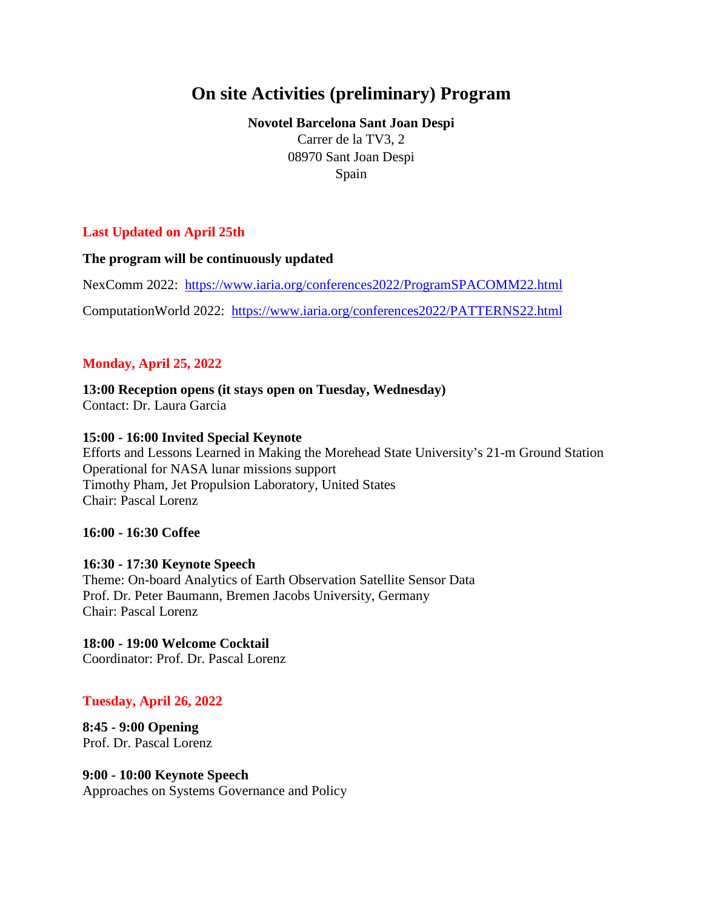# **On site Activities (preliminary) Program**

**Novotel Barcelona Sant Joan Despi** Carrer de la TV3, 2 08970 Sant Joan Despi Spain

# **Last Updated on April 25th**

**The program will be continuously updated**

NexComm 2022: <https://www.iaria.org/conferences2022/ProgramSPACOMM22.html>

ComputationWorld 2022: <https://www.iaria.org/conferences2022/PATTERNS22.html>

# **Monday, April 25, 2022**

**13:00 Reception opens (it stays open on Tuesday, Wednesday)** Contact: Dr. Laura Garcia

#### **15:00 - 16:00 Invited Special Keynote**

Efforts and Lessons Learned in Making the Morehead State University's 21-m Ground Station Operational for NASA lunar missions support Timothy Pham, Jet Propulsion Laboratory, United States Chair: Pascal Lorenz

#### **16:00 - 16:30 Coffee**

#### **16:30 - 17:30 Keynote Speech**

Theme: On-board Analytics of Earth Observation Satellite Sensor Data Prof. Dr. Peter Baumann, Bremen Jacobs University, Germany Chair: Pascal Lorenz

**18:00 - 19:00 Welcome Cocktail** Coordinator: Prof. Dr. Pascal Lorenz

# **Tuesday, April 26, 2022**

**8:45 - 9:00 Opening** Prof. Dr. Pascal Lorenz

# **9:00 - 10:00 Keynote Speech**

Approaches on Systems Governance and Policy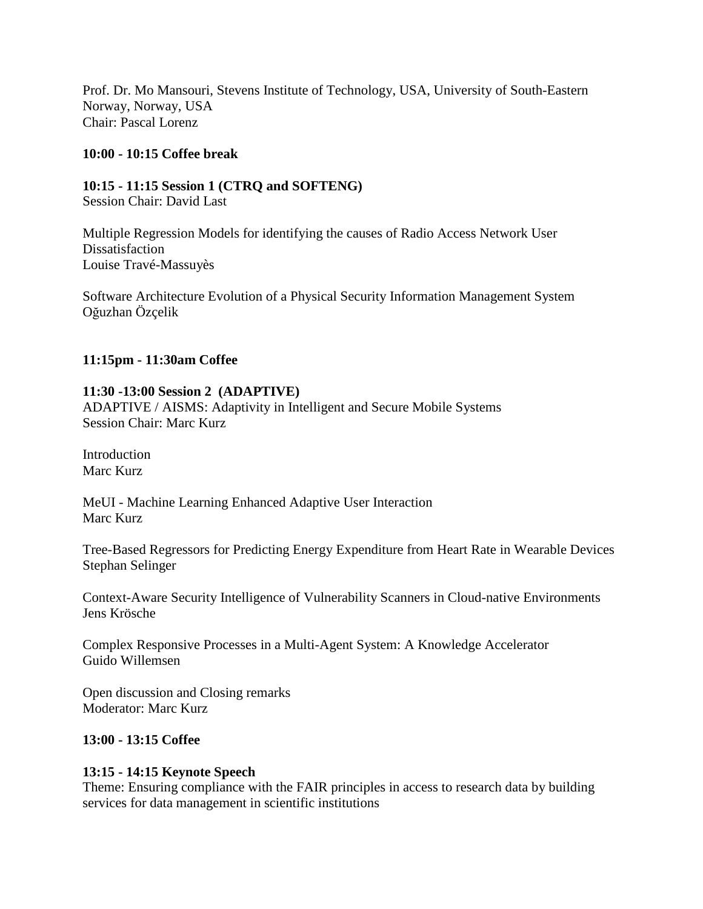Prof. Dr. Mo Mansouri, Stevens Institute of Technology, USA, University of South-Eastern Norway, Norway, USA Chair: Pascal Lorenz

## **10:00 - 10:15 Coffee break**

**10:15 - 11:15 Session 1 (CTRQ and SOFTENG)** Session Chair: David Last

Multiple Regression Models for identifying the causes of Radio Access Network User **Dissatisfaction** Louise Travé-Massuyès

Software Architecture Evolution of a Physical Security Information Management System Oğuzhan Özçelik

## **11:15pm - 11:30am Coffee**

## **11:30 -13:00 Session 2 (ADAPTIVE)**

ADAPTIVE / AISMS: Adaptivity in Intelligent and Secure Mobile Systems Session Chair: Marc Kurz

Introduction Marc Kurz

MeUI - Machine Learning Enhanced Adaptive User Interaction Marc Kurz

Tree-Based Regressors for Predicting Energy Expenditure from Heart Rate in Wearable Devices Stephan Selinger

Context-Aware Security Intelligence of Vulnerability Scanners in Cloud-native Environments Jens Krösche

Complex Responsive Processes in a Multi-Agent System: A Knowledge Accelerator Guido Willemsen

Open discussion and Closing remarks Moderator: Marc Kurz

#### **13:00 - 13:15 Coffee**

#### **13:15 - 14:15 Keynote Speech**

Theme: Ensuring compliance with the FAIR principles in access to research data by building services for data management in scientific institutions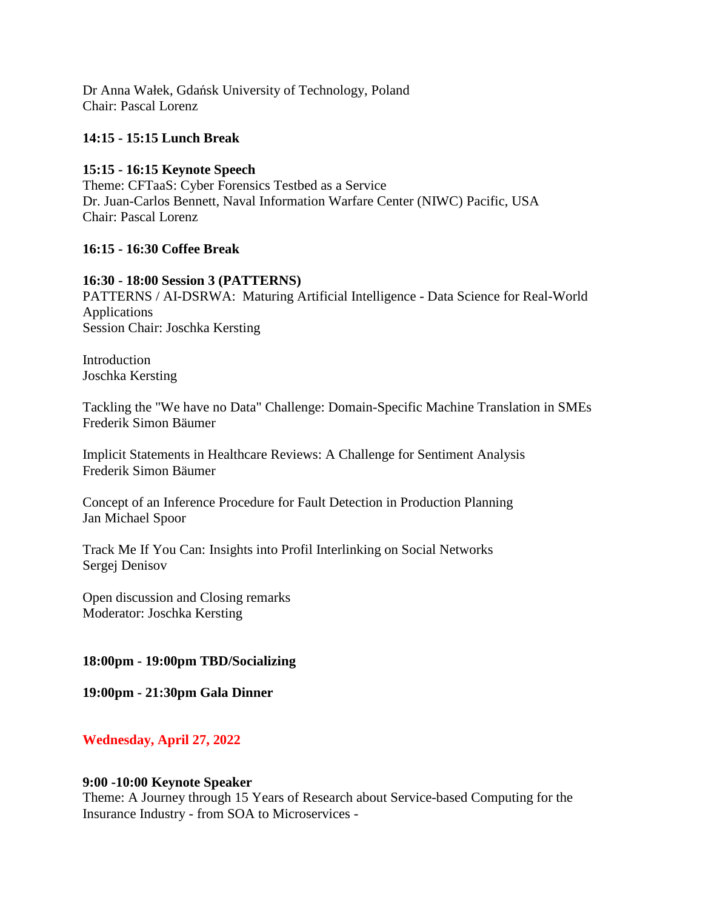Dr Anna Wałek, Gdańsk University of Technology, Poland Chair: Pascal Lorenz

## **14:15 - 15:15 Lunch Break**

## **15:15 - 16:15 Keynote Speech**

Theme: CFTaaS: Cyber Forensics Testbed as a Service Dr. Juan-Carlos Bennett, Naval Information Warfare Center (NIWC) Pacific, USA Chair: Pascal Lorenz

## **16:15 - 16:30 Coffee Break**

## **16:30 - 18:00 Session 3 (PATTERNS)**

PATTERNS / AI-DSRWA: Maturing Artificial Intelligence - Data Science for Real-World Applications Session Chair: Joschka Kersting

Introduction Joschka Kersting

Tackling the "We have no Data" Challenge: Domain-Specific Machine Translation in SMEs Frederik Simon Bäumer

Implicit Statements in Healthcare Reviews: A Challenge for Sentiment Analysis Frederik Simon Bäumer

Concept of an Inference Procedure for Fault Detection in Production Planning Jan Michael Spoor

Track Me If You Can: Insights into Profil Interlinking on Social Networks Sergej Denisov

Open discussion and Closing remarks Moderator: Joschka Kersting

#### **18:00pm - 19:00pm TBD/Socializing**

**19:00pm - 21:30pm Gala Dinner**

# **Wednesday, April 27, 2022**

#### **9:00 -10:00 Keynote Speaker**

Theme: A Journey through 15 Years of Research about Service-based Computing for the Insurance Industry - from SOA to Microservices -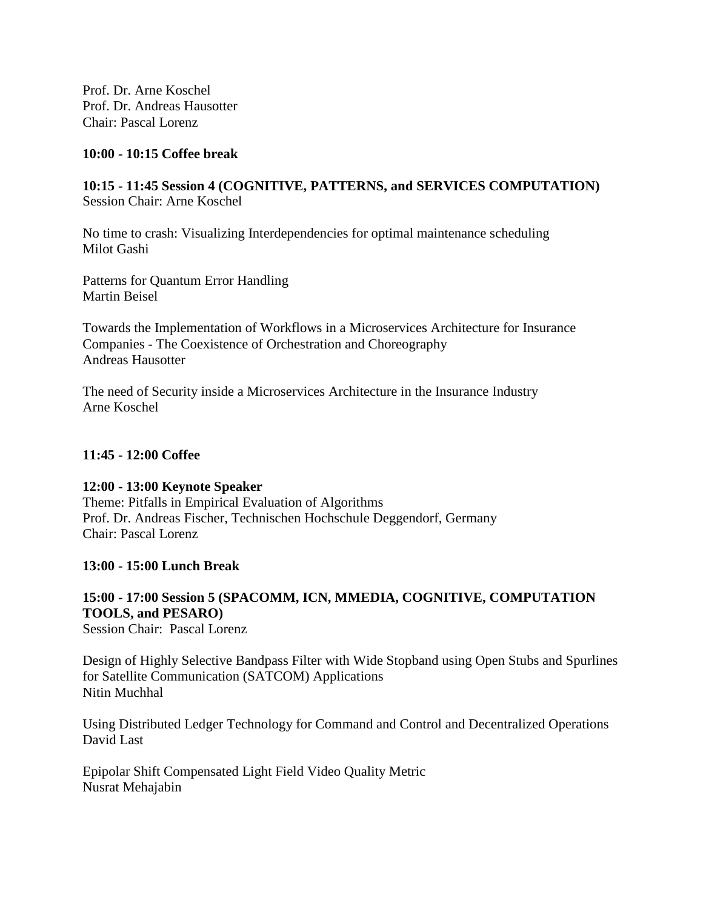Prof. Dr. Arne Koschel Prof. Dr. Andreas Hausotter Chair: Pascal Lorenz

### **10:00 - 10:15 Coffee break**

# **10:15 - 11:45 Session 4 (COGNITIVE, PATTERNS, and SERVICES COMPUTATION)** Session Chair: Arne Koschel

No time to crash: Visualizing Interdependencies for optimal maintenance scheduling Milot Gashi

Patterns for Quantum Error Handling Martin Beisel

Towards the Implementation of Workflows in a Microservices Architecture for Insurance Companies - The Coexistence of Orchestration and Choreography Andreas Hausotter

The need of Security inside a Microservices Architecture in the Insurance Industry Arne Koschel

## **11:45 - 12:00 Coffee**

#### **12:00 - 13:00 Keynote Speaker**

Theme: Pitfalls in Empirical Evaluation of Algorithms Prof. Dr. Andreas Fischer, Technischen Hochschule Deggendorf, Germany Chair: Pascal Lorenz

#### **13:00 - 15:00 Lunch Break**

# **15:00 - 17:00 Session 5 (SPACOMM, ICN, MMEDIA, COGNITIVE, COMPUTATION TOOLS, and PESARO)**

Session Chair: Pascal Lorenz

Design of Highly Selective Bandpass Filter with Wide Stopband using Open Stubs and Spurlines for Satellite Communication (SATCOM) Applications Nitin Muchhal

Using Distributed Ledger Technology for Command and Control and Decentralized Operations David Last

Epipolar Shift Compensated Light Field Video Quality Metric Nusrat Mehajabin